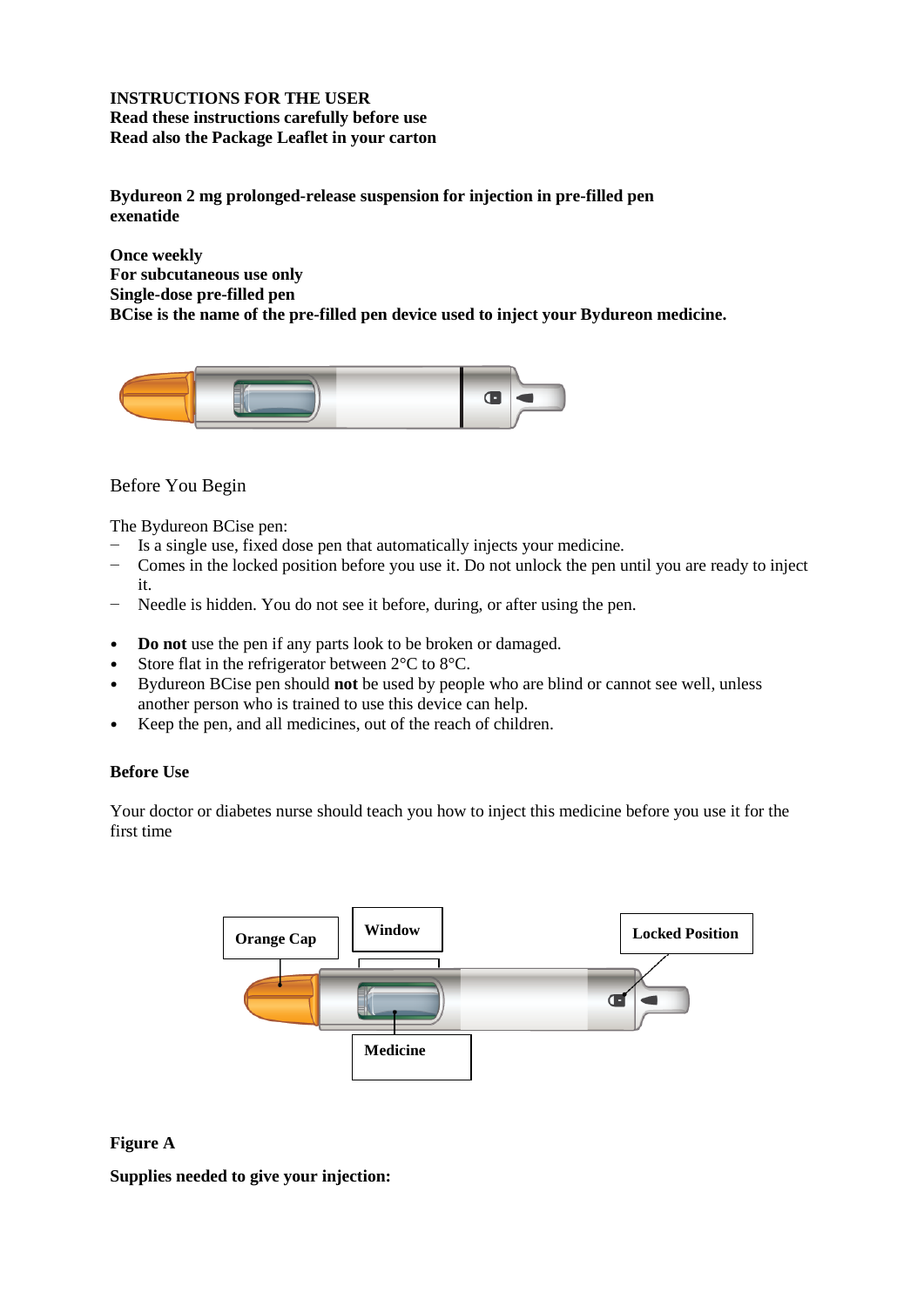# **INSTRUCTIONS FOR THE USER Read these instructions carefully before use Read also the Package Leaflet in your carton**

**Bydureon 2 mg prolonged-release suspension for injection in pre-filled pen exenatide**

**Once weekly For subcutaneous use only Single-dose pre-filled pen BCise is the name of the pre-filled pen device used to inject your Bydureon medicine.**



# Before You Begin

The Bydureon BCise pen:

- − Is a single use, fixed dose pen that automatically injects your medicine.
- − Comes in the locked position before you use it. Do not unlock the pen until you are ready to inject it.
- − Needle is hidden. You do not see it before, during, or after using the pen.
- **Do not** use the pen if any parts look to be broken or damaged.
- Store flat in the refrigerator between  $2^{\circ}$ C to  $8^{\circ}$ C.
- **•** Bydureon BCise pen should **not** be used by people who are blind or cannot see well, unless another person who is trained to use this device can help.
- **•** Keep the pen, and all medicines, out of the reach of children.

### **Before Use**

Your doctor or diabetes nurse should teach you how to inject this medicine before you use it for the first time



### **Figure A**

**Supplies needed to give your injection:**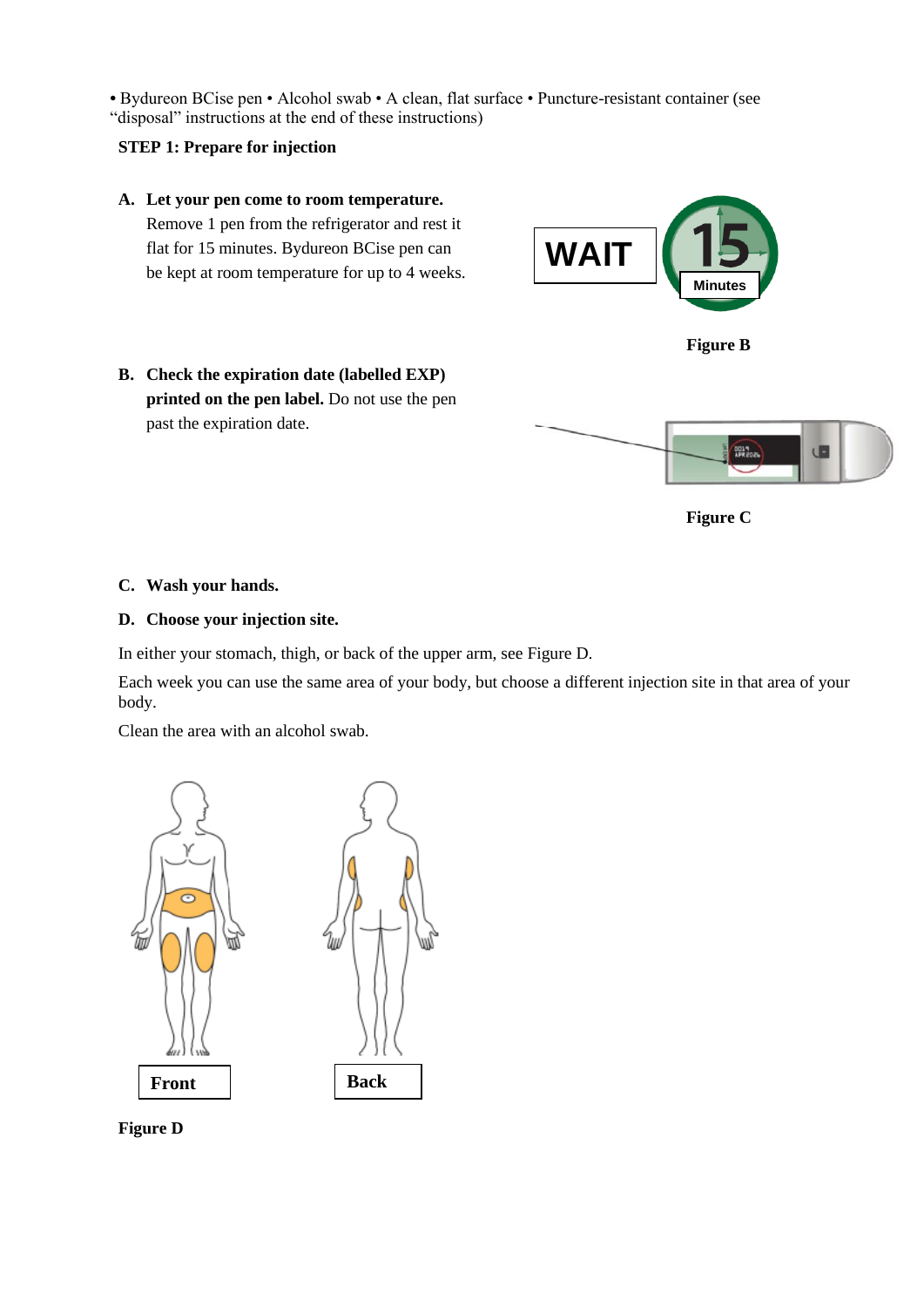**•** Bydureon BCise pen • Alcohol swab • A clean, flat surface • Puncture-resistant container (see "disposal" instructions at the end of these instructions)

## **STEP 1: Prepare for injection**

**A. Let your pen come to room temperature.**  Remove 1 pen from the refrigerator and rest it flat for 15 minutes. Bydureon BCise pen can be kept at room temperature for up to 4 weeks.





**B. Check the expiration date (labelled EXP) printed on the pen label.** Do not use the pen past the expiration date.





## **C. Wash your hands.**

### **D. Choose your injection site.**

In either your stomach, thigh, or back of the upper arm, see Figure D.

Each week you can use the same area of your body, but choose a different injection site in that area of your body.

Clean the area with an alcohol swab.





**Figure D**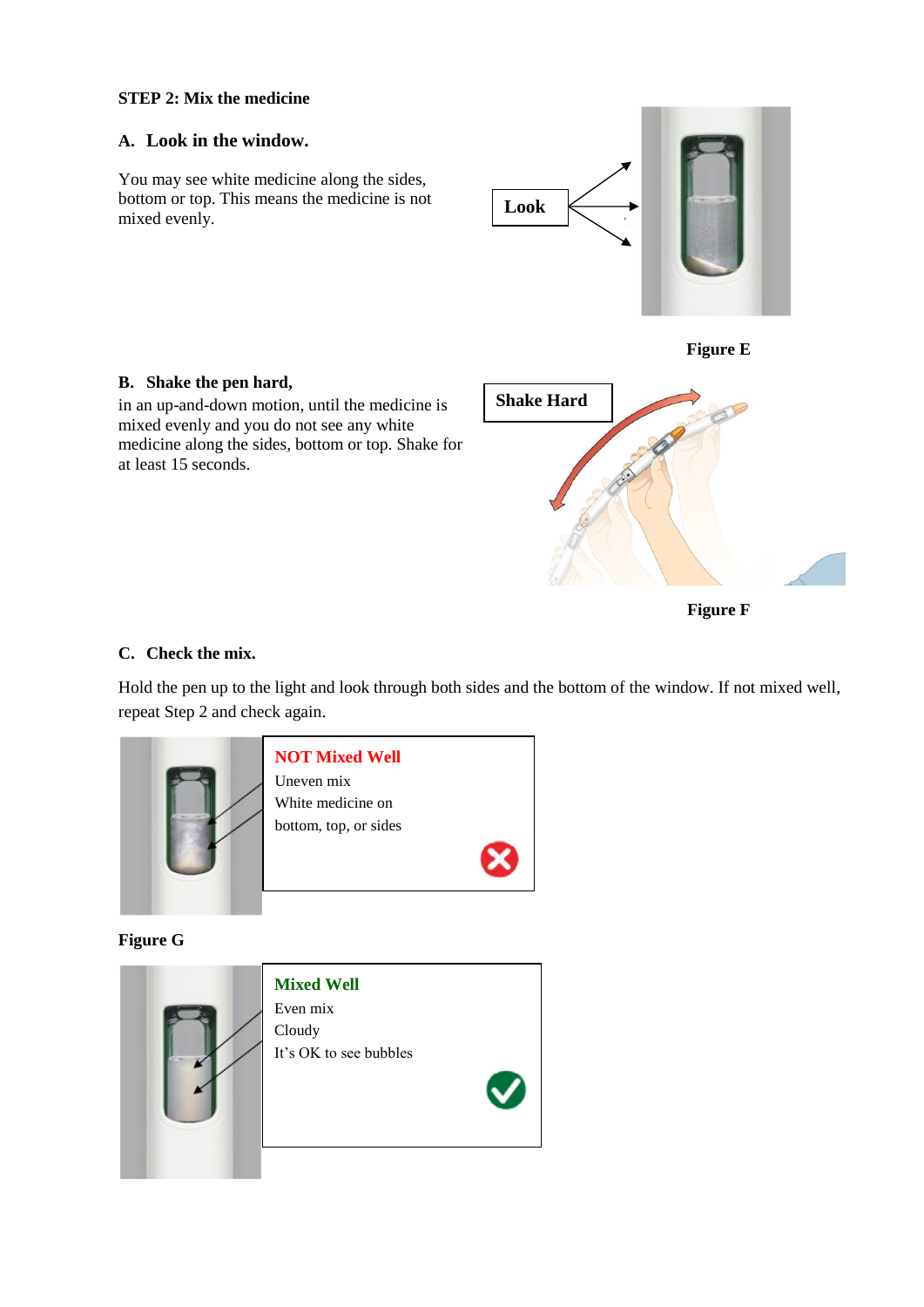## **STEP 2: Mix the medicine**

## **A. Look in the window.**

You may see white medicine along the sides, bottom or top. This means the medicine is not mixed evenly.





## **B. Shake the pen hard,**

in an up-and-down motion, until the medicine is mixed evenly and you do not see any white medicine along the sides, bottom or top. Shake for at least 15 seconds.



**Figure F**

### **C. Check the mix.**

Hold the pen up to the light and look through both sides and the bottom of the window. If not mixed well, repeat Step 2 and check again.



**Figure G**

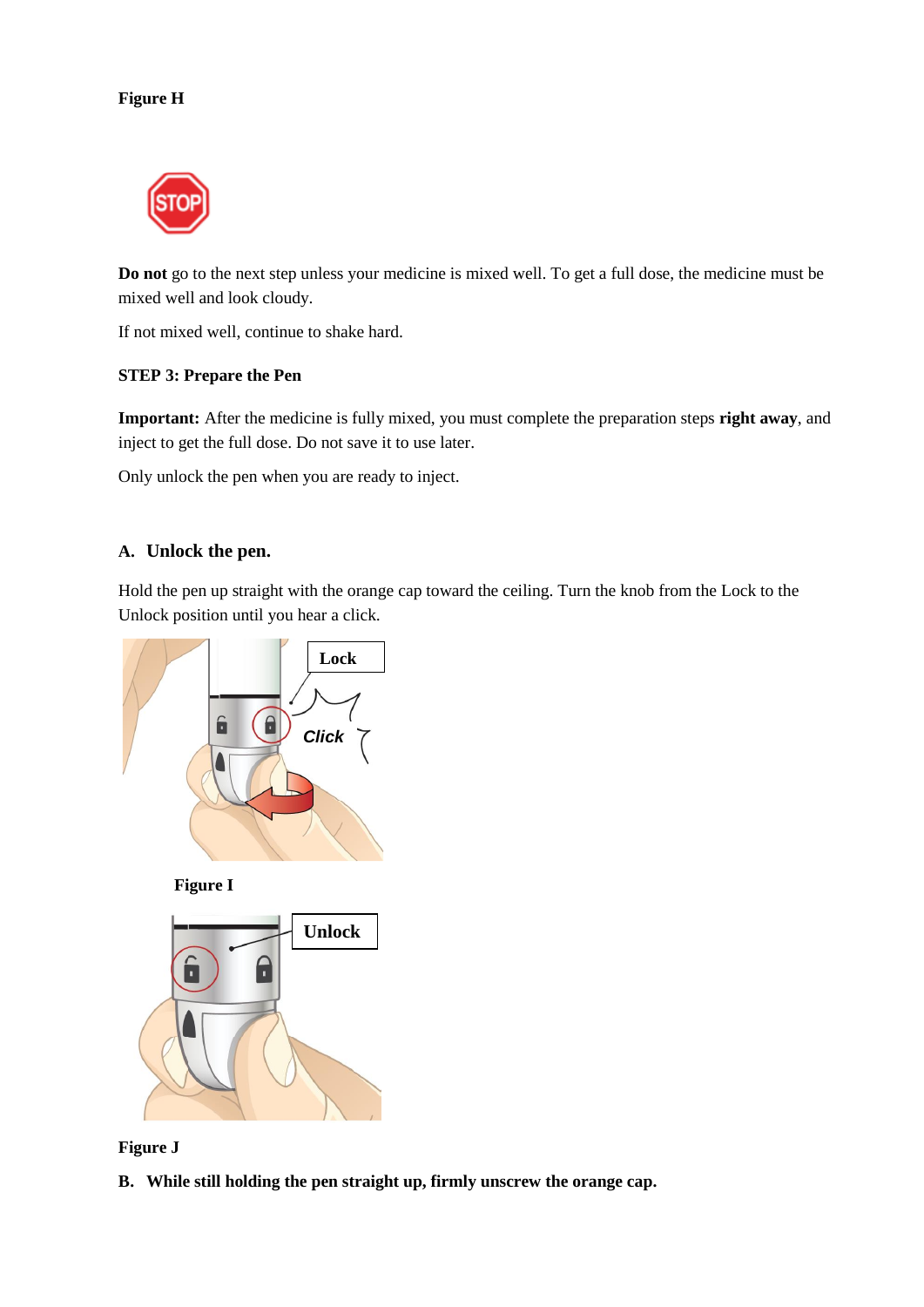# **Figure H**



**Do not** go to the next step unless your medicine is mixed well. To get a full dose, the medicine must be mixed well and look cloudy.

If not mixed well, continue to shake hard.

## **STEP 3: Prepare the Pen**

**Important:** After the medicine is fully mixed, you must complete the preparation steps **right away**, and inject to get the full dose. Do not save it to use later.

Only unlock the pen when you are ready to inject.

# **A. Unlock the pen.**

Hold the pen up straight with the orange cap toward the ceiling. Turn the knob from the Lock to the Unlock position until you hear a click.









**B. While still holding the pen straight up, firmly unscrew the orange cap.**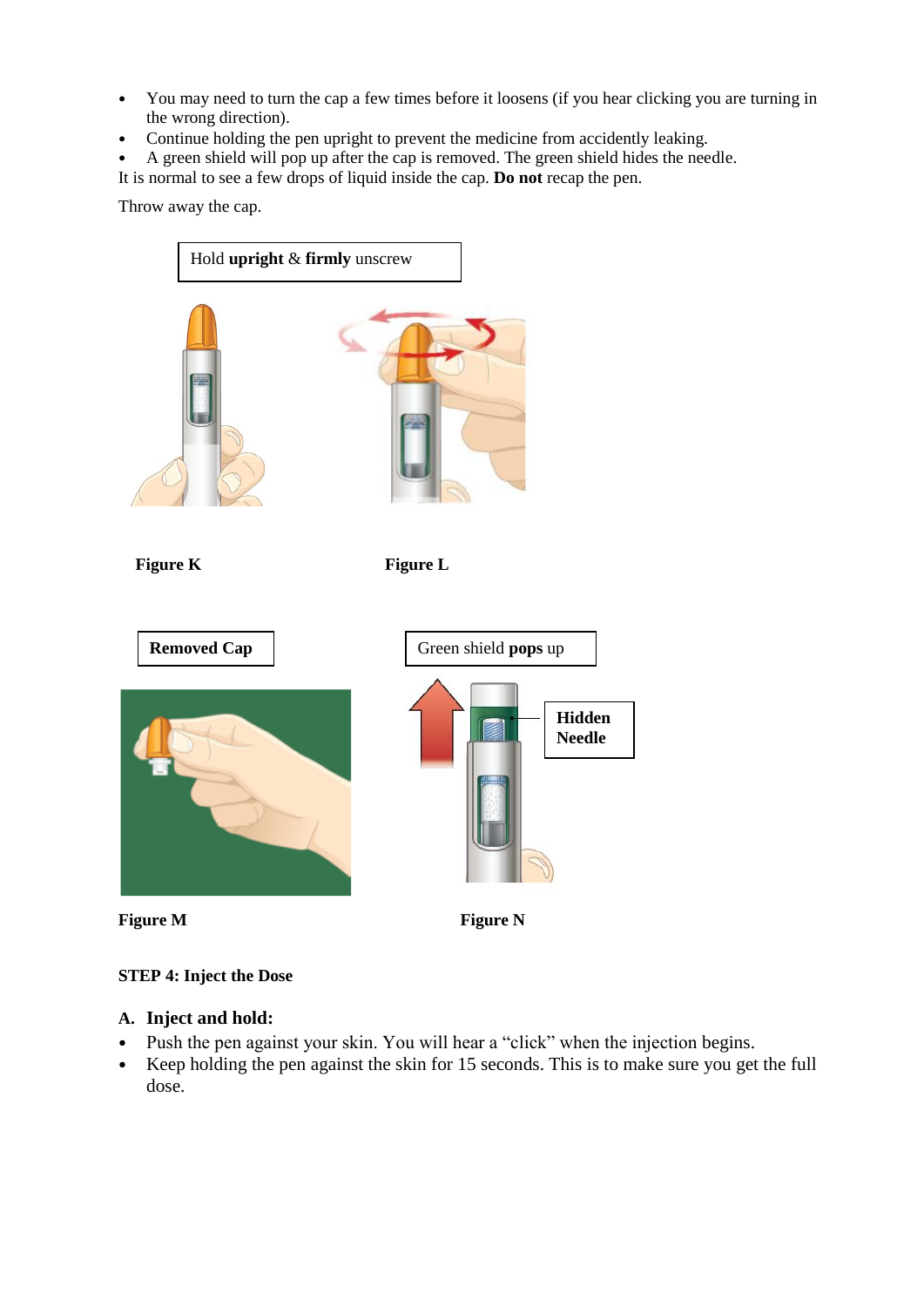- **•** You may need to turn the cap a few times before it loosens (if you hear clicking you are turning in the wrong direction).
- **•** Continue holding the pen upright to prevent the medicine from accidently leaking.
- **•** A green shield will pop up after the cap is removed. The green shield hides the needle.
- It is normal to see a few drops of liquid inside the cap. **Do not** recap the pen.

Throw away the cap.



# **STEP 4: Inject the Dose**

# **A. Inject and hold:**

- **•** Push the pen against your skin. You will hear a "click" when the injection begins.
- **•** Keep holding the pen against the skin for 15 seconds. This is to make sure you get the full dose.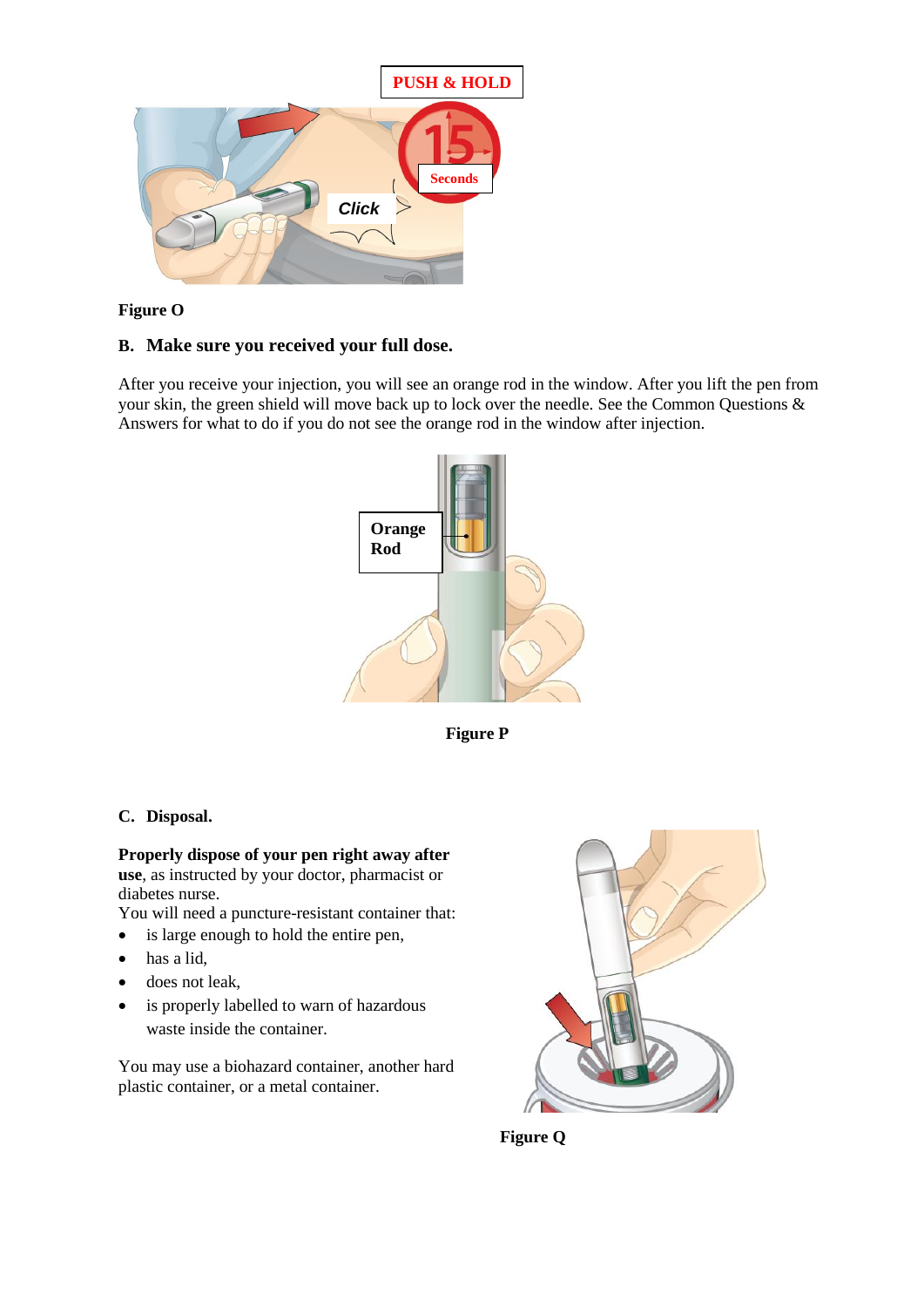

# **Figure O**

# **B. Make sure you received your full dose.**

After you receive your injection, you will see an orange rod in the window. After you lift the pen from your skin, the green shield will move back up to lock over the needle. See the Common Questions & Answers for what to do if you do not see the orange rod in the window after injection.



**Figure P**

# **C. Disposal.**

**Properly dispose of your pen right away after use**, as instructed by your doctor, pharmacist or diabetes nurse.

You will need a puncture-resistant container that:

- is large enough to hold the entire pen,
- has a lid,
- does not leak,
- is properly labelled to warn of hazardous waste inside the container.

You may use a biohazard container, another hard plastic container, or a metal container.



 **Figure Q**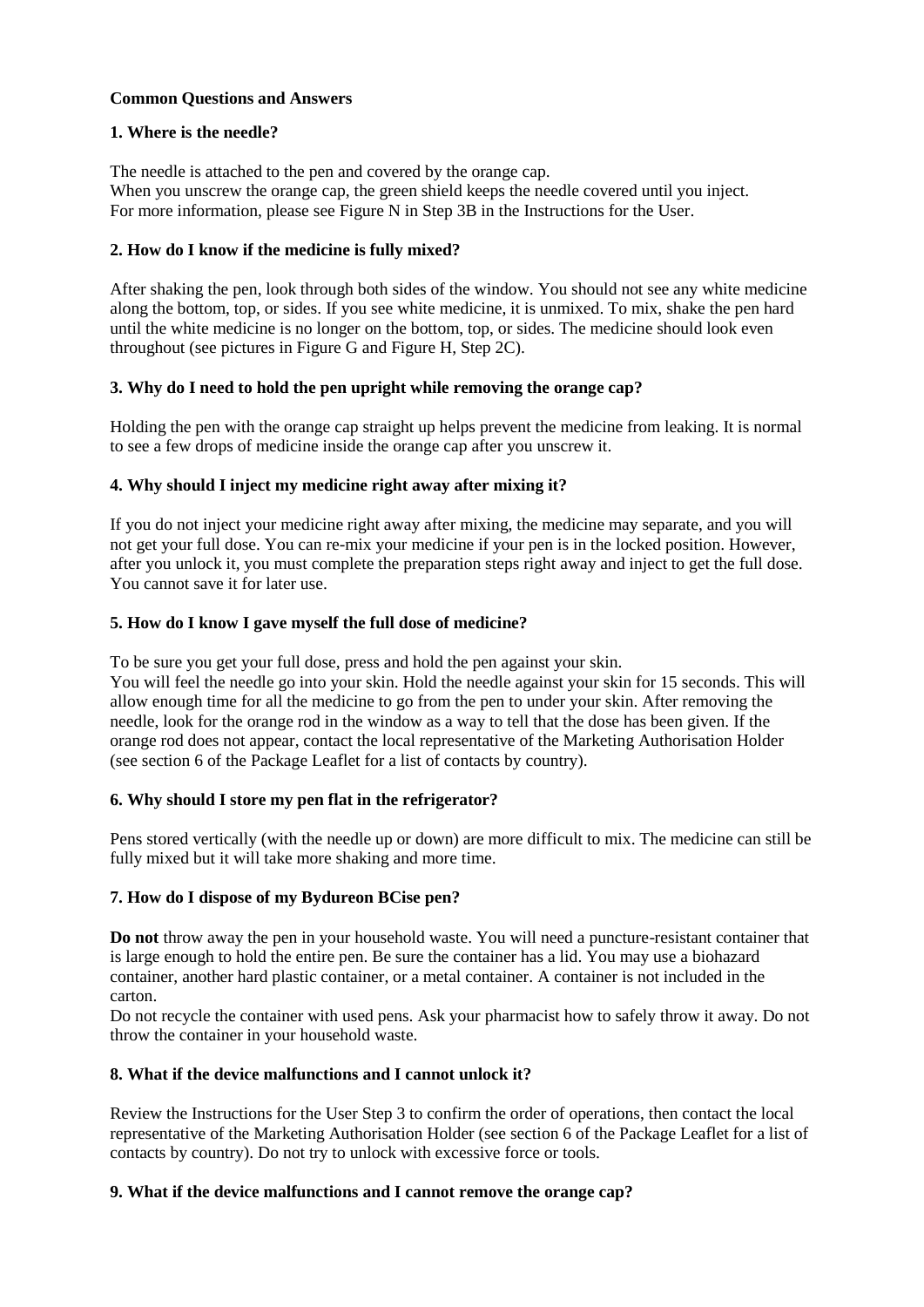## **Common Questions and Answers**

## **1. Where is the needle?**

The needle is attached to the pen and covered by the orange cap. When you unscrew the orange cap, the green shield keeps the needle covered until you inject. For more information, please see Figure N in Step 3B in the Instructions for the User.

## **2. How do I know if the medicine is fully mixed?**

After shaking the pen, look through both sides of the window. You should not see any white medicine along the bottom, top, or sides. If you see white medicine, it is unmixed. To mix, shake the pen hard until the white medicine is no longer on the bottom, top, or sides. The medicine should look even throughout (see pictures in Figure G and Figure H, Step 2C).

## **3. Why do I need to hold the pen upright while removing the orange cap?**

Holding the pen with the orange cap straight up helps prevent the medicine from leaking. It is normal to see a few drops of medicine inside the orange cap after you unscrew it.

## **4. Why should I inject my medicine right away after mixing it?**

If you do not inject your medicine right away after mixing, the medicine may separate, and you will not get your full dose. You can re-mix your medicine if your pen is in the locked position. However, after you unlock it, you must complete the preparation steps right away and inject to get the full dose. You cannot save it for later use.

## **5. How do I know I gave myself the full dose of medicine?**

To be sure you get your full dose, press and hold the pen against your skin. You will feel the needle go into your skin. Hold the needle against your skin for 15 seconds. This will allow enough time for all the medicine to go from the pen to under your skin. After removing the needle, look for the orange rod in the window as a way to tell that the dose has been given. If the orange rod does not appear, contact the local representative of the Marketing Authorisation Holder (see section 6 of the Package Leaflet for a list of contacts by country).

### **6. Why should I store my pen flat in the refrigerator?**

Pens stored vertically (with the needle up or down) are more difficult to mix. The medicine can still be fully mixed but it will take more shaking and more time.

### **7. How do I dispose of my Bydureon BCise pen?**

**Do not** throw away the pen in your household waste. You will need a puncture-resistant container that is large enough to hold the entire pen. Be sure the container has a lid. You may use a biohazard container, another hard plastic container, or a metal container. A container is not included in the carton.

Do not recycle the container with used pens. Ask your pharmacist how to safely throw it away. Do not throw the container in your household waste.

### **8. What if the device malfunctions and I cannot unlock it?**

Review the Instructions for the User Step 3 to confirm the order of operations, then contact the local representative of the Marketing Authorisation Holder (see section 6 of the Package Leaflet for a list of contacts by country). Do not try to unlock with excessive force or tools.

### **9. What if the device malfunctions and I cannot remove the orange cap?**